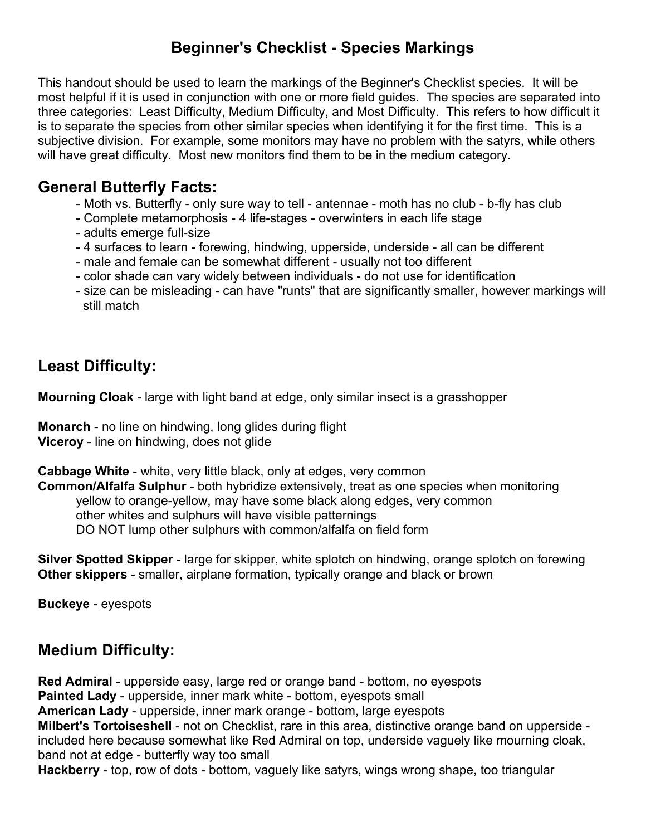# **Beginner's Checklist - Species Markings**

This handout should be used to learn the markings of the Beginner's Checklist species. It will be most helpful if it is used in conjunction with one or more field guides. The species are separated into three categories: Least Difficulty, Medium Difficulty, and Most Difficulty. This refers to how difficult it is to separate the species from other similar species when identifying it for the first time. This is a subjective division. For example, some monitors may have no problem with the satyrs, while others will have great difficulty. Most new monitors find them to be in the medium category.

### **General Butterfly Facts:**

- Moth vs. Butterfly only sure way to tell antennae moth has no club b-fly has club
- Complete metamorphosis 4 life-stages overwinters in each life stage
- adults emerge full-size
- 4 surfaces to learn forewing, hindwing, upperside, underside all can be different
- male and female can be somewhat different usually not too different
- color shade can vary widely between individuals do not use for identification
- size can be misleading can have "runts" that are significantly smaller, however markings will still match

# **Least Difficulty:**

**Mourning Cloak** - large with light band at edge, only similar insect is a grasshopper

**Monarch** - no line on hindwing, long glides during flight **Viceroy** - line on hindwing, does not glide

**Cabbage White** - white, very little black, only at edges, very common

**Common/Alfalfa Sulphur** - both hybridize extensively, treat as one species when monitoring yellow to orange-yellow, may have some black along edges, very common other whites and sulphurs will have visible patternings DO NOT lump other sulphurs with common/alfalfa on field form

**Silver Spotted Skipper** - large for skipper, white splotch on hindwing, orange splotch on forewing **Other skippers** - smaller, airplane formation, typically orange and black or brown

**Buckeye** - eyespots

#### **Medium Difficulty:**

**Red Admiral** - upperside easy, large red or orange band - bottom, no eyespots **Painted Lady** - upperside, inner mark white - bottom, eyespots small **American Lady** - upperside, inner mark orange - bottom, large eyespots **Milbert's Tortoiseshell** - not on Checklist, rare in this area, distinctive orange band on upperside included here because somewhat like Red Admiral on top, underside vaguely like mourning cloak, band not at edge - butterfly way too small

**Hackberry** - top, row of dots - bottom, vaguely like satyrs, wings wrong shape, too triangular